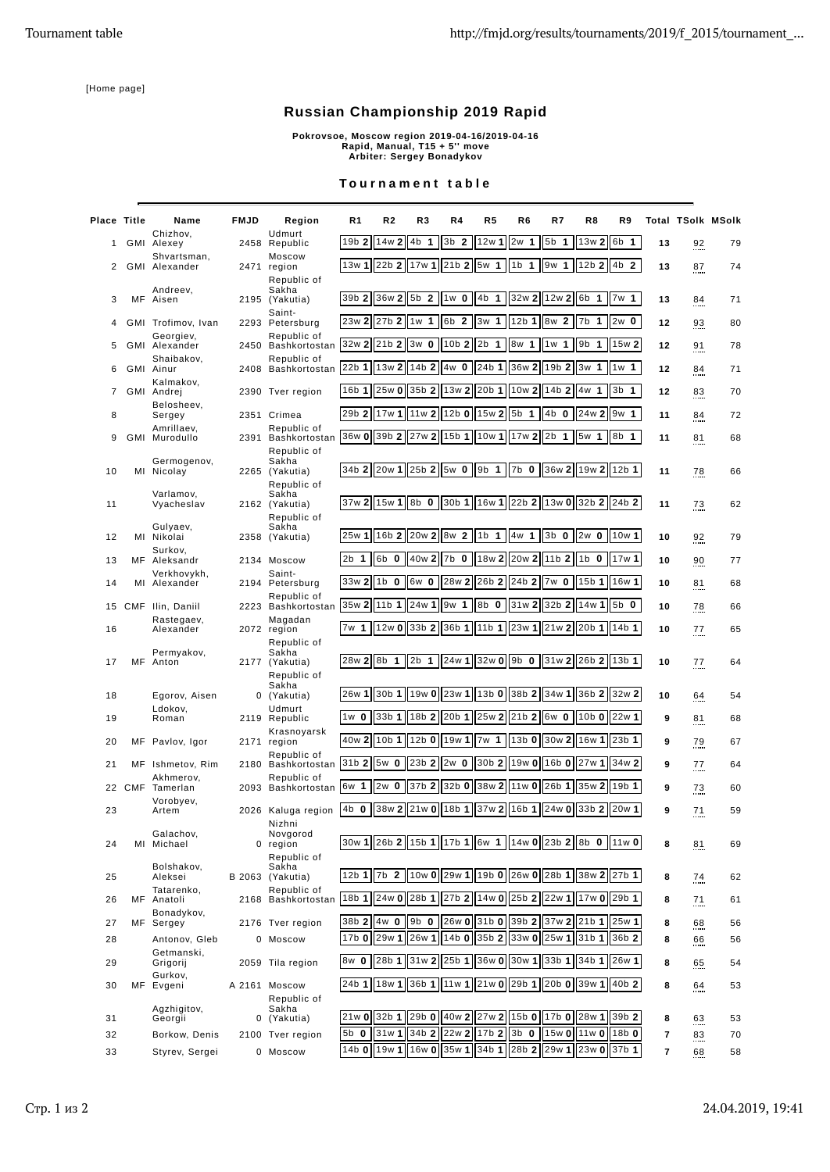[Home page]

## Russian Championship 2019 Rapid

Pokrovsoe, Moscow region 2019-04-16/2019-04-16 Rapid, Manual, T15 + 5'' move Arbiter: Sergey Bonadykov

## Tournament table

| Place Title |        | Name                                | <b>FMJD</b> | Region                                                | R <sub>1</sub>    | R <sub>2</sub>    | R3                 | R4                                       | R5               | R <sub>6</sub>     | R7                 | R8                      | R9                             |                |                | <b>Total TSolk MSolk</b> |
|-------------|--------|-------------------------------------|-------------|-------------------------------------------------------|-------------------|-------------------|--------------------|------------------------------------------|------------------|--------------------|--------------------|-------------------------|--------------------------------|----------------|----------------|--------------------------|
| 1           |        | Chizhov,<br>GMI Alexey              |             | Udmurt<br>2458 Republic                               | 19b 2             | 14w 2             | 4b<br>$\mathbf{1}$ | 3b <sub>2</sub>                          | 12w 1            | 2w<br>$\mathbf{1}$ | 5b<br>$\mathbf{1}$ | 13w 2                   | 6b<br>$\mathbf{1}$             | 13             | $\frac{92}{1}$ | 79                       |
| 2           |        | Shvartsman,<br><b>GMI</b> Alexander |             | Moscow<br>2471 region<br>Republic of                  | 13w 1             | 22b2              |                    | 17w 1 21b 2                              | 5w 1             | 1b <sub>1</sub>    | 9w 1               | 12b <sub>2</sub>        | 4b<br>$\overline{2}$           | 13             | 87             | 74                       |
| 3           |        | Andreev,<br>MF Aisen                |             | Sakha<br>2195 (Yakutia)                               | 39 <sub>b</sub> 2 | 36w 2             | 5b 2               | 1w <sub>0</sub>                          | 4b <sub>1</sub>  | 32w 2              | 12w 2              | 6b 1                    | 7w <sub>1</sub>                | 13             | 84             | 71                       |
| 4           |        | GMI Trofimov, Ivan                  |             | Saint-<br>2293 Petersburg                             | 23w 2             | 27b 2             | 1w 1 6b 2          |                                          | 3w 1             | $12b$ 1            | 8w 2               | 7b<br>$\mathbf{1}$      | 2w <sub>0</sub>                | 12             | 93             | 80                       |
| 5           |        | Georgiev,<br><b>GMI</b> Alexander   |             | Republic of<br>2450 Bashkortostan                     | 32w 2             | 21b <sub>2</sub>  | 3w <sub>0</sub>    | 10b 2                                    | $2b$ 1           | 8w 1               | 1w <sub>1</sub>    | 9b<br>$\mathbf{1}$      | 15w 2                          | 12             | 91             | 78                       |
| 6           |        | Shaibakov,<br>GMI Ainur             |             | Republic of<br>2408 Bashkortostan                     | $22b$ 1           | 13w2              | 14b 2 4w 0         |                                          | $24b$ 1          | 36w 2              | 19b 2              | 3w 1                    | 1w<br>1                        | 12             | 84             | 71                       |
| 7           |        | Kalmakov,<br>GMI Andrej             |             | 2390 Tver region                                      | 16b 1             | 25w <sub>0</sub>  | 35b 2              | 13w 2                                    | 20b 1            | 10w 2              | 14b 2              | 4w 1                    | 3b <sub>1</sub>                | 12             | $\frac{83}{2}$ | 70                       |
| 8           |        | Belosheev,<br>Sergey                |             | 2351 Crimea                                           | 29b 2             | 17w1              |                    | 11w 2 12b 0 15w 2 5b 1                   |                  |                    | $4b$ 0             | 24w 2                   | 9w<br>1                        | 11             | 84             | 72                       |
| 9           |        | Amrillaev,<br>GMI Murodullo         |             | Republic of<br>2391 Bashkortostan                     |                   |                   |                    | 36w 0 39b 2 27w 2 15b 1 10w 1 17w 2 2b 1 |                  |                    |                    | 5w 1                    | 8b 1                           | 11             | 81             | 68                       |
| 10          |        | Germogenov,<br>MI Nicolay           |             | Republic of<br>Sakha<br>2265 (Yakutia)                | 34b 2             | 20w 1             | 25b 2 5w 0         |                                          | 9b <sub>1</sub>  | $7b$ 0             |                    | 36w 2 19w 2             | $12b$ 1                        | 11             | $\frac{78}{2}$ | 66                       |
| 11          |        | Varlamov,<br>Vyacheslav             |             | Republic of<br>Sakha<br>2162 (Yakutia)<br>Republic of | 37w 2             | 15w1              | $8b$ 0             | 30b 1 16w 1 22b 2                        |                  |                    |                    | 13w 0 32b 2             | $\overline{24b}$ 2             | 11             | 73             | 62                       |
| 12          |        | Gulyaev,<br>MI Nikolai              |             | Sakha<br>2358 (Yakutia)                               | 25w 1             | 16b 2             | 20w 2              | 8w 2                                     | $1b$ 1           | 4w 1               | $3b$ 0             | 2w <sub>0</sub>         | 10w 1                          | 10             | 92             | 79                       |
| 13          |        | Surkov.<br>MF Aleksandr             |             | 2134 Moscow                                           | 2b <sub>1</sub>   | $6b$ 0            | 40w 2 7b 0         |                                          | 18w 2            | 20w 2              | 11b 2              | $1b$ 0                  | 17w 1                          | 10             | 90             | 77                       |
| 14          |        | Verkhovykh,<br>MI Alexander         |             | Saint-<br>2194 Petersburg                             | 33w 2             | $1b$ 0            | 6w <sub>0</sub>    | 28w 2                                    | 26b <sub>2</sub> | 24b 2              | 7w 0               | 15b 1                   | 16w 1                          | 10             | 81             | 68                       |
| 15          |        | CMF Ilin, Daniil                    |             | Republic of<br>2223 Bashkortostan                     | 35w <sub>2</sub>  | $11b$ 1           |                    | 24w 1 9w 1                               | 8b 0             | 31w 2 32b 2        |                    | 14w 1                   | 5 <sub>b</sub><br>$\mathbf{0}$ | 10             | $\frac{78}{2}$ | 66                       |
| 16          |        | Rastegaev,<br>Alexander             |             | Magadan<br>2072 region                                | 7w <sub>1</sub>   | 12w 0             | 33b 2              | 36b 1                                    | $11b$ 1          | 23w 1              | 21w 2              | $20b$ 1                 | 14b <sub>1</sub>               | 10             | 77             | 65                       |
| 17          |        | Permyakov,<br>MF Anton              |             | Republic of<br>Sakha<br>2177 (Yakutia)<br>Republic of | 28w 2             | 8b 1              | $2b$ 1             | 24w 1 32w 0 9b 0                         |                  |                    | 31w 2              | 26b 2                   | 13b 1                          | 10             | 77.            | 64                       |
| 18          |        | Egorov, Aisen                       |             | Sakha<br>0 (Yakutia)                                  | 26w 1             | 30b1              | 19w 0              | 23w 1 13b 0                              |                  | 38b 2              | 34w 1              | 36b 2                   | 32w 2                          | 10             | 64             | 54                       |
| 19          |        | Ldokov,<br>Roman                    |             | Udmurt<br>2119 Republic                               | 1w <sub>0</sub>   | 33b1              |                    | 18b 2 20b 1                              | 25w 2            | 21b <sub>2</sub>   | 6w 0               | $10b$ 0                 | 22w 1                          | 9              | $\frac{81}{2}$ | 68                       |
| 20          | MF     | Pavlov, Igor                        |             | Krasnoyarsk<br>2171 region                            | 40w 2             | 10 <sub>b</sub> 1 | $12b$ 0            | 19w 1                                    | 7w 1             | $13b$ 0            | 30w 2              | 16w 1                   | $23b$ 1                        | 9              | 79             | 67                       |
| 21          |        | MF Ishmetov, Rim                    |             | Republic of<br>2180 Bashkortostan                     | 31b 2 5w 0        |                   |                    | $23b$ 2 $2w$ 0                           |                  |                    |                    | 30b 2 19w 0 16b 0 27w 1 | 34w 2                          | 9              | 77             | 64                       |
|             | 22 CMF | Akhmerov.<br>Tamerlan               |             | Republic of<br>2093 Bashkortostan                     | 6w 1              | 2w <sub>0</sub>   |                    | 37b 2 32b 0 38w 2                        |                  | 11w 0              | 26b <sub>1</sub>   | 35w 2                   | 19b 1                          | 9              | 73             | 60                       |
| 23          |        | Vorobyev,<br>Artem                  |             | 2026 Kaluga region                                    | $4b$ 0            | 38w 2             | 21w 0              | 18b 1 37w 2                              |                  | $16b$ 1            |                    | 24w 0 33b 2             | 20w 1                          | 9              | 71             | 59                       |
| 24          |        | Galachov,<br>MI Michael             |             | Nizhni<br>Novgorod<br>0 region<br>Republic of         |                   | 30w 1 26b 2       |                    | 15b 1 17b 1 6w 1                         |                  | 14w 0              | 23b 2              | 8b 0                    | 11w 0                          | 8              | 81             | 69                       |
| 25          |        | Bolshakov,<br>Aleksei               |             | Sakha<br>B 2063 (Yakutia)                             | $12b$ 1           | 7b 2              |                    | 10w 0 29w 1 19b 0 26w 0 28b 1 38w 2      |                  |                    |                    |                         | $27b$ 1                        | 8              | $\frac{74}{2}$ | 62                       |
| 26          |        | Tatarenko,<br>MF Anatoli            |             | Republic of<br>2168 Bashkortostan                     |                   | 18b 1 24w 0       | 28b <sub>1</sub>   | 27b 2 14w 0 25b 2                        |                  |                    | 22w 1              | 17w 0                   | 29b 1                          | 8              | 71             | 61                       |
| 27          |        | Bonadykov,<br>MF Sergey             |             | 2176 Tver region                                      | 38b 2             | 4w <sub>0</sub>   | 9 $b$ 0            | 26w 0 31b 0                              |                  | $39b$ 2            |                    | 37w 2 21b 1             | 25w 1                          | 8              | 68             | 56                       |
| 28          |        | Antonov, Gleb                       |             | 0 Moscow                                              | $17b$ 0           | 29w 1             | 26w 1              | $14b$ 0                                  | 35b 2            | 33w 0              | 25w 1              | 31b 1                   | 36b 2                          | 8              | 66             | 56                       |
| 29          |        | Getmanski,<br>Grigorij              |             | 2059 Tila region                                      | 8w 0              | 28b1              |                    | 31w 2 25b 1 36w 0 30w 1                  |                  |                    |                    | 33b 1 34b 1             | 26w 1                          | 8              | 65             | 54                       |
| 30          |        | Gurkov,<br>MF Evgeni                |             | A 2161 Moscow<br>Republic of                          | 24b 1             | 18w1              |                    | 36b 1 11w 1 21w 0 29b 1 20b 0 39w 1      |                  |                    |                    |                         | 40b 2                          | 8              | 64             | 53                       |
| 31          |        | Agzhigitov,<br>Georgii              |             | Sakha<br>0 (Yakutia)                                  | 21w 0             | 32b1              |                    | 29b 0 40w 2 27w 2 15b 0 17b 0 28w 1      |                  |                    |                    |                         | 39b 2                          | 8              | 63             | 53                       |
| 32          |        | Borkow, Denis                       |             | 2100 Tver region                                      | 5b 0              | 31w1              |                    | 34b 2 22w 2 17b 2                        |                  | 3b <sub>0</sub>    |                    | 15w 0 11w 0             | 18b 0                          | $\overline{7}$ | 83             | 70                       |
| 33          |        | Styrev, Sergei                      |             | 0 Moscow                                              | 14b 0             | 19w1              |                    | 16w 0 35w 1 34b 1                        |                  |                    |                    | 28b 2 29w 1 23w 0       | 37b 1                          | $\overline{7}$ | 68             | 58                       |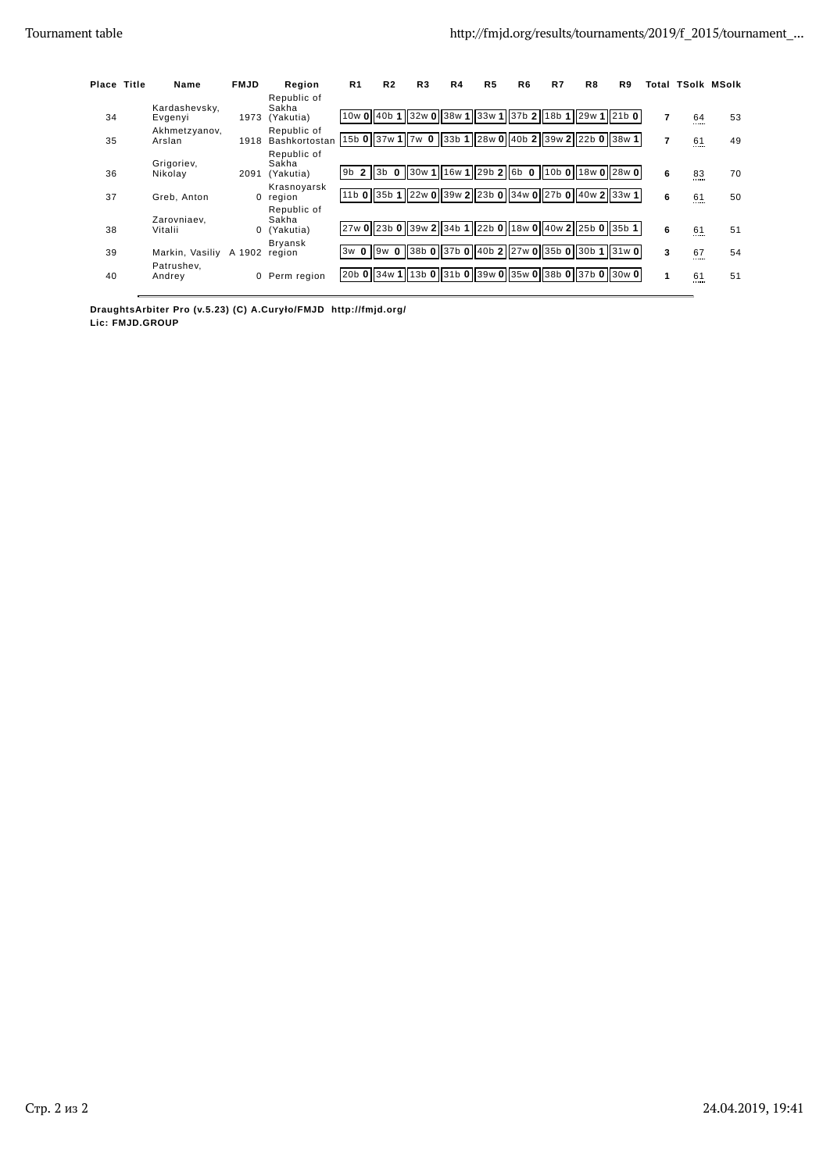| Place Title | Name                     | <b>FMJD</b> | Region                            | R1 | R <sub>2</sub> | R <sub>3</sub> | R4                                                            | R <sub>5</sub> | R <sub>6</sub> | R7 | R8 | R9 |                          |        | Total TSolk MSolk |
|-------------|--------------------------|-------------|-----------------------------------|----|----------------|----------------|---------------------------------------------------------------|----------------|----------------|----|----|----|--------------------------|--------|-------------------|
| 34          | Kardashevsky,<br>Evgenyi | 1973        | Republic of<br>Sakha<br>(Yakutia) |    |                |                | 10w 0 40b 1 32w 0 38w 1 33w 1 37b 2 18b 1 29w 1 21b 0         |                |                |    |    |    | $\overline{\phantom{a}}$ | 64<br> | 53                |
| 35          | Akhmetzyanov,<br>Arslan  | 1918        | Republic of<br>Bashkortostan      |    |                |                | 15b 0 37w 1 7w 0 33b 1 28w 0 40b 2 39w 2 22b 0 38w 1          |                |                |    |    |    | $\overline{\phantom{a}}$ | 61<br> | 49                |
| 36          | Grigoriev,<br>Nikolav    | 2091        | Republic of<br>Sakha<br>(Yakutia) | 9b | 3 <sub>b</sub> |                | 0 30w 1 16w 1 29b 2 6b 0 10b 0 18w 0 28w 0                    |                |                |    |    |    | 6                        | 83<br> | 70                |
| 37          | Greb, Anton              |             | Krasnovarsk<br>0 region           |    |                |                | 11b 0 35b 1 22w 0 39w 2 23b 0 34w 0 27b 0 40w 2 33w 1         |                |                |    |    |    | 6                        | 61<br> | 50                |
| 38          | Zarovniaev.<br>Vitalii   | 0           | Republic of<br>Sakha<br>(Yakutia) |    |                |                | 27w 0  23b 0  39w 2  34b 1  22b 0  18w 0  40w 2  25b 0  35b 1 |                |                |    |    |    | 6                        | 61<br> | 51                |
| 39          | Markin, Vasiliy          | A 1902      | Bryansk<br>region                 |    |                |                | 3w 0 9w 0 38b 0 37b 0 40b 2 27w 0 35b 0 30b 1 31w 0           |                |                |    |    |    | 3                        | 67<br> | 54                |
| 40          | Patrushev.<br>Andrey     | 0           | Perm region                       |    |                |                | 20b 0 34w 1 13b 0 31b 0 39w 0 35w 0 38b 0 37b 0 30w 0         |                |                |    |    |    | $\mathbf{1}$             | 61<br> | 51                |

DraughtsArbiter Pro (v.5.23) (C) A.Curyło/FMJD http://fmjd.org/ Lic: FMJD.GROUP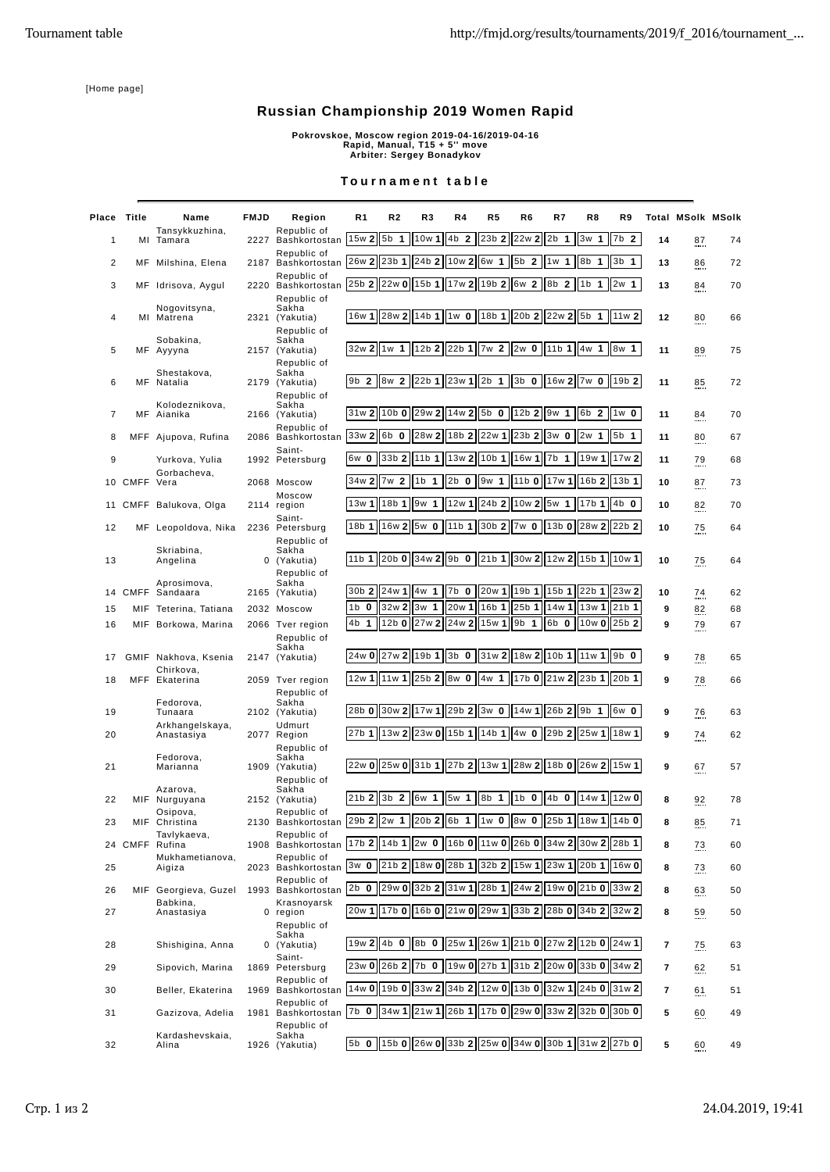[Home page]

## Russian Championship 2019 Women Rapid

Pokrovskoe, Moscow region 2019-04-16/2019-04-16 Rapid, Manual, T15 + 5'' move Arbiter: Sergey Bonadykov

## Tournament table

| Place Title    |              | Name                            | <b>FMJD</b> | Region                                                 | R1                              | R <sub>2</sub>   | R3                                                  | R4                      | R <sub>5</sub>   | R <sub>6</sub>       | R7                | R8               | R9                  |                | <b>Total MSolk MSolk</b> |    |
|----------------|--------------|---------------------------------|-------------|--------------------------------------------------------|---------------------------------|------------------|-----------------------------------------------------|-------------------------|------------------|----------------------|-------------------|------------------|---------------------|----------------|--------------------------|----|
| $\mathbf{1}$   | MI           | Tansykkuzhina,<br>Tamara        |             | Republic of<br>2227 Bashkortostan                      | 15w 2                           | 5b 1             | $10w$ 1                                             | 4b <sub>2</sub>         | 23b <sub>2</sub> | 22w 2                | 2b <sub>1</sub>   | 3w <sub>1</sub>  | 7b 2                | 14             | 87                       | 74 |
| $\overline{c}$ |              | MF Milshina, Elena              |             | Republic of<br>2187 Bashkortostan 26w 2<br>Republic of |                                 | 23b <sub>1</sub> | 24b 2                                               | 10w 2 6w 1              |                  | 5b<br>$\overline{2}$ | 1w <sub>1</sub>   | 8b<br>1          | 3b<br>1             | 13             | 86                       | 72 |
| 3              | MF           | Idrisova, Aygul                 |             | 2220 Bashkortostan<br>Republic of                      |                                 | 25b 2 22w 0      | 15b 1                                               | 17w 2                   | 19b 2 6w 2       |                      | 8b 2              | $1b$ 1           | 2w <sub>1</sub>     | 13             | 84                       | 70 |
| $\overline{4}$ |              | Nogovitsyna,<br>MI Matrena      |             | Sakha<br>2321 (Yakutia)                                | 16w 1                           | 28w 2            | 14b 1                                               | 1w <sub>0</sub>         | 18b 1            | 20b 2                | 22w 2             | $5b$ 1           | 11w 2               | 12             | 80                       | 66 |
| 5              |              | Sobakina,<br>MF Ayyyna          |             | Republic of<br>Sakha<br>2157 (Yakutia)                 | $32w$ 2 $1w$ 1                  |                  | 12b 2                                               | 22b <sub>1</sub>        |                  | 7w 2 2w 0            | $11b$ 1           | 4w 1             | 8w 1                | 11             | 89                       | 75 |
| 6              |              | Shestakova,<br>MF Natalia       |             | Republic of<br>Sakha<br>2179 (Yakutia)                 | 9b 2                            | 8w 2             | 22b <sub>1</sub>                                    | 23w 1                   | $2b$ 1           | 3b <sub>0</sub>      | 16w 2             | 7w <sub>0</sub>  | 19b 2               | 11             | 85                       | 72 |
|                |              | Kolodeznikova.                  |             | Republic of<br>Sakha                                   |                                 |                  |                                                     |                         |                  |                      |                   | 6b 2             | 1w <sub>0</sub>     |                |                          |    |
| 7              |              | MF Aianika                      |             | 2166 (Yakutia)<br>Republic of                          | 31w 2                           | $10b$ 0          |                                                     | 29w 2 14w 2 5b 0        |                  | 12b 2 9w 1           |                   |                  |                     | 11             | 84                       | 70 |
| 8              |              | MFF Ajupova, Rufina             |             | 2086 Bashkortostan 33w 2 6b 0<br>Saint-                |                                 |                  | 28w 2 18b 2                                         |                         |                  | 22w 1 23b 2          | 3w <sub>0</sub>   | 2w <sub>1</sub>  | 5 <sub>b</sub><br>1 | 11             | 80                       | 67 |
| 9              |              | Yurkova, Yulia<br>Gorbacheva,   |             | 1992 Petersburg                                        | 6w 0                            | 33b 2            | 11b 1                                               | 13w 2                   | 10b 1            | 16w 1                | 7b<br>1           | 19w 1            | 17w 2               | 11             | 79                       | 68 |
|                | 10 CMFF Vera |                                 |             | 2068 Moscow<br>Moscow                                  | 34w 2                           | 7w 2             | 1 <sub>b</sub><br>$\mathbf{1}$                      | $2b$ 0                  | 9w 1             | $11b$ 0              | 17w 1             | 16b 2            | 13b 1               | 10             | 87                       | 73 |
|                |              | 11 CMFF Balukova, Olga          |             | 2114 region<br>Saint-                                  | 13w 1                           | 18b 1            | 9w<br>1                                             | 12w 1                   |                  | 24b 2 10w 2          | 5w 1              | 17b1             | 4 <sub>b</sub><br>0 | 10             | 82                       | 70 |
| 12             |              | MF Leopoldova, Nika             |             | 2236 Petersburg<br>Republic of                         | 18b 1                           | 16w 2            | 5w 0                                                | $11b$ 1                 | 30b 2            | 7w 0                 | 13b 0             | 28w 2            | 22b <sub>2</sub>    | 10             | $75\,$                   | 64 |
| 13             |              | Skriabina,<br>Angelina          |             | Sakha<br>0 (Yakutia)<br>Republic of                    | 11b 1                           | $20b$ 0          | 34w 2                                               | $9b$ 0                  | 21b 1            | 30w 2                | 12w 2             | $15b$ 1          | 10w 1               | 10             | $\frac{75}{2}$           | 64 |
|                |              | Aprosimova,<br>14 CMFF Sandaara |             | Sakha<br>2165 (Yakutia)                                | 30b <sub>2</sub>                | 24w 1            | 4w 1                                                | $7b$ 0                  | 20w 1            | 19b 1                | 15b 1             | 22b <sub>1</sub> | 23w 2               | 10             | $74$                     | 62 |
| 15             |              | MIF Teterina. Tatiana           |             | 2032 Moscow                                            | $1b$ 0                          | 32w 2            | 3w 1                                                | 20w 1                   | 16b 1            | 25b <sub>1</sub>     | 14w 1             | 13w 1            | $21b$ 1             | 9              | 82                       | 68 |
| 16             |              | MIF Borkowa, Marina             |             | 2066 Tver region                                       | 4b 1                            | $12b$ 0          | 27w <sub>2</sub>                                    | 24w 2                   | 15w 1            | 9b <sub>1</sub>      | 6b 0              | 10w <sub>0</sub> | 25b <sub>2</sub>    | 9              | $79$                     | 67 |
| 17             |              | GMIF Nakhova, Ksenia            |             | Republic of<br>Sakha<br>2147 (Yakutia)                 | 24w <sub>0</sub>                | 27w 2            | 19b 1                                               | $3b$ 0                  |                  |                      | 31w 2 18w 2 10b 1 | 11w 1            | $9b$ 0              | 9              | $78$                     | 65 |
| 18             |              | Chirkova,<br>MFF Ekaterina      |             | 2059 Tver region                                       |                                 |                  | 12w 1 11w 1 25b 2 8w 0 4w 1 17b 0 21w 2 23b 1 20b 1 |                         |                  |                      |                   |                  |                     | 9              | 78                       | 66 |
| 19             |              | Fedorova,<br>Tunaara            |             | Republic of<br>Sakha<br>2102 (Yakutia)                 | $28b$ 0                         | 30w 2            | 17w 1                                               | 29b 2                   | 3w <sub>0</sub>  | 14w 1                | 26b <sub>2</sub>  | 9b <sub>1</sub>  | 6w 0                | 9              | 76                       | 63 |
| 20             |              | Arkhangelskaya,<br>Anastasiya   |             | Udmurt<br>2077 Region                                  | 27b 1 13w 2                     |                  | 23w 0                                               | 15b 1 14b 1 4w 0        |                  |                      | 29b 2             | 25w 1            | 18w 1               | 9              | 74                       | 62 |
| 21             |              | Fedorova,<br>Marianna           |             | Republic of<br>Sakha<br>1909 (Yakutia)                 | 22w 0                           | 25w 0            | 31b 1                                               | 27b <sub>2</sub>        | 13w 1            | 28w 2                | 18 <sub>b</sub> 0 | 26w 2            | 15w 1               | 9              | 67                       | 57 |
| 22             |              | Azarova,<br>MIF Nurguyana       |             | Republic of<br>Sakha<br>2152 (Yakutia)                 | 21b <sub>2</sub>                | 3b <sub>2</sub>  | 6w 1                                                | 5w 1                    | 8b 1             | $1b$ 0               | $4b$ 0            | 14w 1            | 12w 0               | 8              | 92                       | 78 |
| 23             |              | Osipova,<br>MIF Christina       |             | Republic of<br>2130 Bashkortostan                      | 29b 2 2w 1 20b 2 6b 1 1w 0 8w 0 |                  |                                                     |                         |                  |                      |                   |                  | 25b 1 18w 1 14b 0   | 8              | 85                       | 71 |
|                |              | Tavlykaeva,<br>24 CMFF Rufina   |             | Republic of<br>1908 Bashkortostan 17b 2                |                                 | 14b 1            | 2w <sub>0</sub>                                     | $16b$ $0$               |                  | 11w 0 26b 0          | 34w 2             | 30w 2            | $28b$ 1             | 8              | 73                       | 60 |
| 25             |              | Mukhametianova,<br>Aigiza       |             | Republic of<br>2023 Bashkortostan                      | 3w <sub>0</sub>                 | 21b <sub>2</sub> | 18w 0                                               | 28b 1                   | 32b 2            | 15w 1                | 23w 1             | $20b$ 1          | 16w 0               | 8              | 73                       | 60 |
| 26             |              | MIF Georgieva, Guzel            |             | Republic of<br>1993 Bashkortostan 2b 0                 |                                 |                  | 29w 0 32b 2 31w 1 28b 1 24w 2 19w 0 21b 0 33w 2     |                         |                  |                      |                   |                  |                     | 8              | 63                       | 50 |
| 27             |              | Babkina,<br>Anastasiya          |             | Krasnovarsk<br>0 region                                | 20w 1                           | 17b 0            | 16b 0                                               | 21w 0                   | 29w 1            | 33b 2                |                   | 28b 0 34b 2      | 32w 2               | 8              | 59                       | 50 |
| 28             |              | Shishigina, Anna                |             | Republic of<br>Sakha<br>0 (Yakutia)                    | 19w 2                           | 4b 0             | 8b<br>$\mathbf 0$                                   | 25w1                    | 26w 1            | $21b$ 0              | 27w 2             | $12b$ 0          | 24w 1               | 7              | $\frac{75}{100}$         | 63 |
| 29             |              | Sipovich, Marina                |             | Saint-<br>1869 Petersburg                              | 23w 0 26b 2                     |                  | 7b 0                                                | 19w 0                   | $27b$ 1          | 31b 2                | 20w <sub>0</sub>  | $33b$ $0$        | 34w 2               | 7              | 62                       | 51 |
| 30             |              | Beller, Ekaterina               |             | Republic of<br>1969 Bashkortostan 14w 0 19b 0          |                                 |                  | 33w 2 34b 2                                         |                         |                  | 12w 0 13b 0          | 32w 1             |                  | 24b 0 31w 2         | $\overline{7}$ | 61                       | 51 |
| 31             |              | Gazizova, Adelia                |             | Republic of<br>1981 Bashkortostan                      | 7b 0                            | 34w 1            | 21w 1                                               | $26b$ 1                 | 17b 0            | 29w 0                | 33w 2             | $32b$ 0          | $30b$ 0             | 5              | 60                       | 49 |
| 32             |              | Kardashevskaia,<br>Alina        |             | Republic of<br>Sakha<br>1926 (Yakutia)                 | 5b 0                            |                  | 15b 0 26w 0                                         | 33b 2 25w 0 34w 0 30b 1 |                  |                      |                   |                  | 31w 2 27b 0         | 5              | 60                       | 49 |